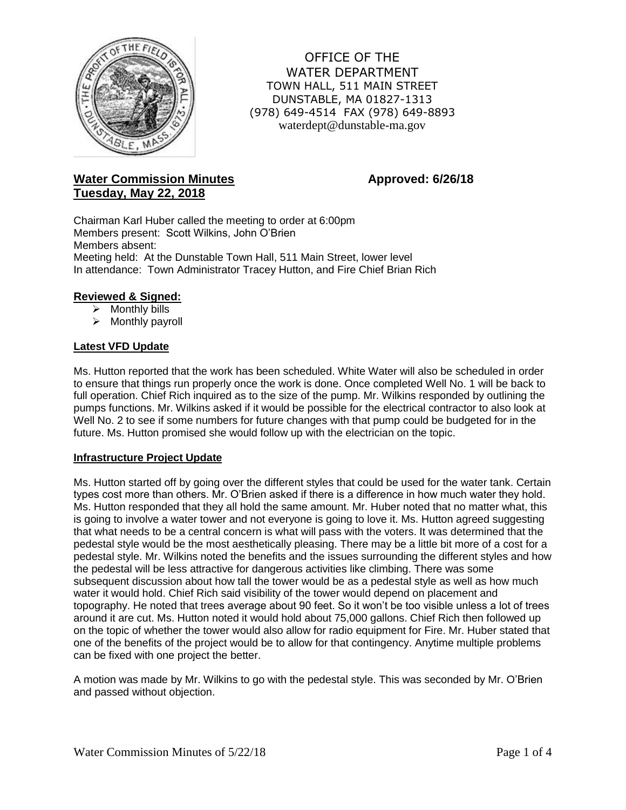

OFFICE OF THE WATER DEPARTMENT TOWN HALL, 511 MAIN STREET DUNSTABLE, MA 01827-1313 (978) 649-4514 FAX (978) 649-8893 waterdept@dunstable-ma.gov

# **Water Commission Minutes <b>Approved: 6/26/18 Tuesday, May 22, 2018**

Chairman Karl Huber called the meeting to order at 6:00pm Members present: Scott Wilkins, John O'Brien Members absent: Meeting held: At the Dunstable Town Hall, 511 Main Street, lower level In attendance: Town Administrator Tracey Hutton, and Fire Chief Brian Rich

# **Reviewed & Signed:**

- $\triangleright$  Monthly bills
- $\triangleright$  Monthly payroll

# **Latest VFD Update**

Ms. Hutton reported that the work has been scheduled. White Water will also be scheduled in order to ensure that things run properly once the work is done. Once completed Well No. 1 will be back to full operation. Chief Rich inquired as to the size of the pump. Mr. Wilkins responded by outlining the pumps functions. Mr. Wilkins asked if it would be possible for the electrical contractor to also look at Well No. 2 to see if some numbers for future changes with that pump could be budgeted for in the future. Ms. Hutton promised she would follow up with the electrician on the topic.

### **Infrastructure Project Update**

Ms. Hutton started off by going over the different styles that could be used for the water tank. Certain types cost more than others. Mr. O'Brien asked if there is a difference in how much water they hold. Ms. Hutton responded that they all hold the same amount. Mr. Huber noted that no matter what, this is going to involve a water tower and not everyone is going to love it. Ms. Hutton agreed suggesting that what needs to be a central concern is what will pass with the voters. It was determined that the pedestal style would be the most aesthetically pleasing. There may be a little bit more of a cost for a pedestal style. Mr. Wilkins noted the benefits and the issues surrounding the different styles and how the pedestal will be less attractive for dangerous activities like climbing. There was some subsequent discussion about how tall the tower would be as a pedestal style as well as how much water it would hold. Chief Rich said visibility of the tower would depend on placement and topography. He noted that trees average about 90 feet. So it won't be too visible unless a lot of trees around it are cut. Ms. Hutton noted it would hold about 75,000 gallons. Chief Rich then followed up on the topic of whether the tower would also allow for radio equipment for Fire. Mr. Huber stated that one of the benefits of the project would be to allow for that contingency. Anytime multiple problems can be fixed with one project the better.

A motion was made by Mr. Wilkins to go with the pedestal style. This was seconded by Mr. O'Brien and passed without objection.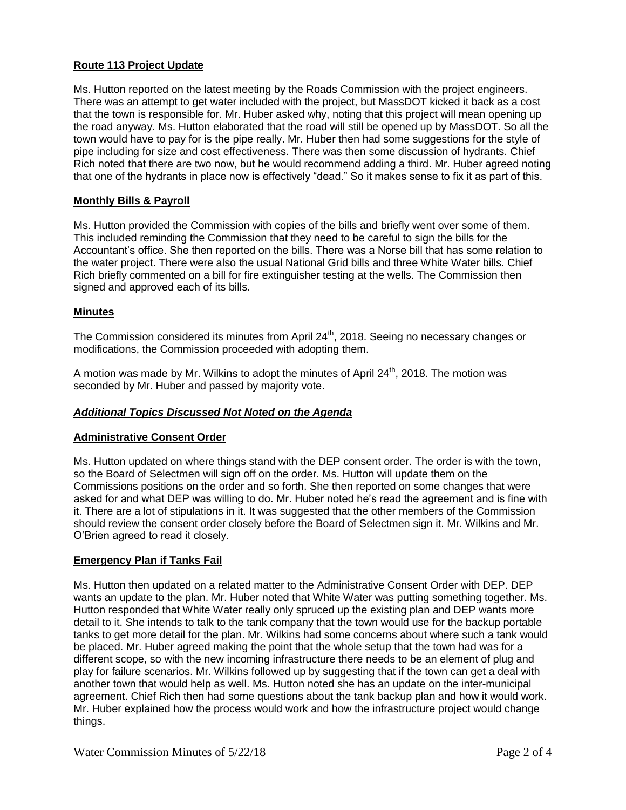# **Route 113 Project Update**

Ms. Hutton reported on the latest meeting by the Roads Commission with the project engineers. There was an attempt to get water included with the project, but MassDOT kicked it back as a cost that the town is responsible for. Mr. Huber asked why, noting that this project will mean opening up the road anyway. Ms. Hutton elaborated that the road will still be opened up by MassDOT. So all the town would have to pay for is the pipe really. Mr. Huber then had some suggestions for the style of pipe including for size and cost effectiveness. There was then some discussion of hydrants. Chief Rich noted that there are two now, but he would recommend adding a third. Mr. Huber agreed noting that one of the hydrants in place now is effectively "dead." So it makes sense to fix it as part of this.

# **Monthly Bills & Payroll**

Ms. Hutton provided the Commission with copies of the bills and briefly went over some of them. This included reminding the Commission that they need to be careful to sign the bills for the Accountant's office. She then reported on the bills. There was a Norse bill that has some relation to the water project. There were also the usual National Grid bills and three White Water bills. Chief Rich briefly commented on a bill for fire extinguisher testing at the wells. The Commission then signed and approved each of its bills.

# **Minutes**

The Commission considered its minutes from April 24<sup>th</sup>, 2018. Seeing no necessary changes or modifications, the Commission proceeded with adopting them.

A motion was made by Mr. Wilkins to adopt the minutes of April  $24<sup>th</sup>$ , 2018. The motion was seconded by Mr. Huber and passed by majority vote.

# *Additional Topics Discussed Not Noted on the Agenda*

### **Administrative Consent Order**

Ms. Hutton updated on where things stand with the DEP consent order. The order is with the town, so the Board of Selectmen will sign off on the order. Ms. Hutton will update them on the Commissions positions on the order and so forth. She then reported on some changes that were asked for and what DEP was willing to do. Mr. Huber noted he's read the agreement and is fine with it. There are a lot of stipulations in it. It was suggested that the other members of the Commission should review the consent order closely before the Board of Selectmen sign it. Mr. Wilkins and Mr. O'Brien agreed to read it closely.

# **Emergency Plan if Tanks Fail**

Ms. Hutton then updated on a related matter to the Administrative Consent Order with DEP. DEP wants an update to the plan. Mr. Huber noted that White Water was putting something together. Ms. Hutton responded that White Water really only spruced up the existing plan and DEP wants more detail to it. She intends to talk to the tank company that the town would use for the backup portable tanks to get more detail for the plan. Mr. Wilkins had some concerns about where such a tank would be placed. Mr. Huber agreed making the point that the whole setup that the town had was for a different scope, so with the new incoming infrastructure there needs to be an element of plug and play for failure scenarios. Mr. Wilkins followed up by suggesting that if the town can get a deal with another town that would help as well. Ms. Hutton noted she has an update on the inter-municipal agreement. Chief Rich then had some questions about the tank backup plan and how it would work. Mr. Huber explained how the process would work and how the infrastructure project would change things.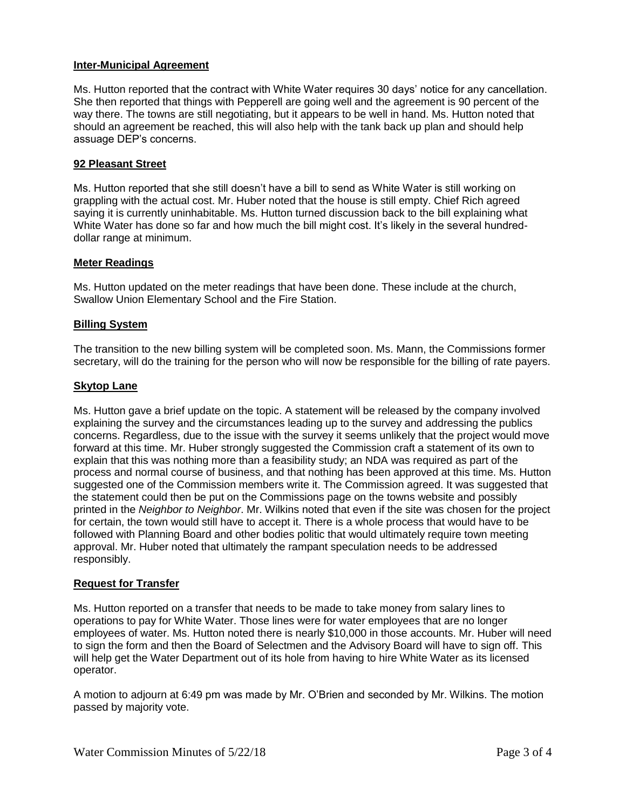# **Inter-Municipal Agreement**

Ms. Hutton reported that the contract with White Water requires 30 days' notice for any cancellation. She then reported that things with Pepperell are going well and the agreement is 90 percent of the way there. The towns are still negotiating, but it appears to be well in hand. Ms. Hutton noted that should an agreement be reached, this will also help with the tank back up plan and should help assuage DEP's concerns.

# **92 Pleasant Street**

Ms. Hutton reported that she still doesn't have a bill to send as White Water is still working on grappling with the actual cost. Mr. Huber noted that the house is still empty. Chief Rich agreed saying it is currently uninhabitable. Ms. Hutton turned discussion back to the bill explaining what White Water has done so far and how much the bill might cost. It's likely in the several hundreddollar range at minimum.

### **Meter Readings**

Ms. Hutton updated on the meter readings that have been done. These include at the church, Swallow Union Elementary School and the Fire Station.

# **Billing System**

The transition to the new billing system will be completed soon. Ms. Mann, the Commissions former secretary, will do the training for the person who will now be responsible for the billing of rate payers.

# **Skytop Lane**

Ms. Hutton gave a brief update on the topic. A statement will be released by the company involved explaining the survey and the circumstances leading up to the survey and addressing the publics concerns. Regardless, due to the issue with the survey it seems unlikely that the project would move forward at this time. Mr. Huber strongly suggested the Commission craft a statement of its own to explain that this was nothing more than a feasibility study; an NDA was required as part of the process and normal course of business, and that nothing has been approved at this time. Ms. Hutton suggested one of the Commission members write it. The Commission agreed. It was suggested that the statement could then be put on the Commissions page on the towns website and possibly printed in the *Neighbor to Neighbor*. Mr. Wilkins noted that even if the site was chosen for the project for certain, the town would still have to accept it. There is a whole process that would have to be followed with Planning Board and other bodies politic that would ultimately require town meeting approval. Mr. Huber noted that ultimately the rampant speculation needs to be addressed responsibly.

### **Request for Transfer**

Ms. Hutton reported on a transfer that needs to be made to take money from salary lines to operations to pay for White Water. Those lines were for water employees that are no longer employees of water. Ms. Hutton noted there is nearly \$10,000 in those accounts. Mr. Huber will need to sign the form and then the Board of Selectmen and the Advisory Board will have to sign off. This will help get the Water Department out of its hole from having to hire White Water as its licensed operator.

A motion to adjourn at 6:49 pm was made by Mr. O'Brien and seconded by Mr. Wilkins. The motion passed by majority vote.